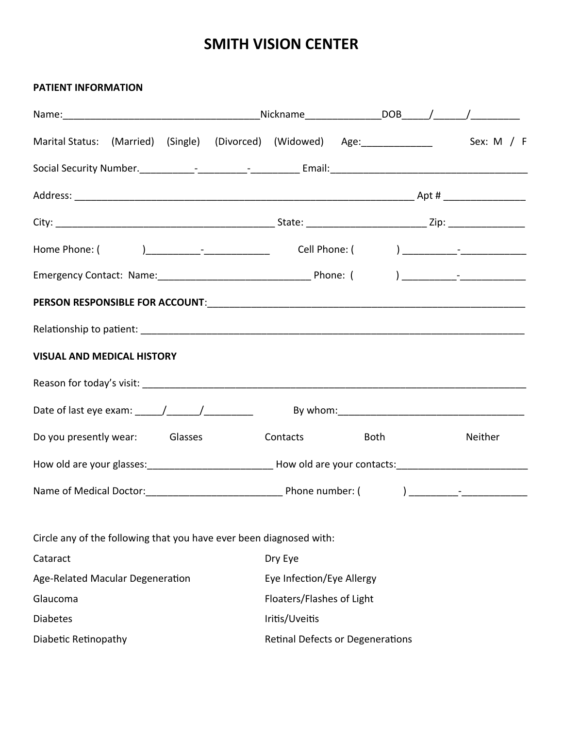### **PATIENT INFORMATION**

| <b>VISUAL AND MEDICAL HISTORY</b>                                                                                                                                                                                                                                                                                                                                                                                                  |                |                                  |  |         |
|------------------------------------------------------------------------------------------------------------------------------------------------------------------------------------------------------------------------------------------------------------------------------------------------------------------------------------------------------------------------------------------------------------------------------------|----------------|----------------------------------|--|---------|
|                                                                                                                                                                                                                                                                                                                                                                                                                                    |                |                                  |  |         |
| Date of last eye exam: $\frac{1}{\frac{1}{2} \cdot \frac{1}{2} \cdot \frac{1}{2} \cdot \frac{1}{2} \cdot \frac{1}{2} \cdot \frac{1}{2} \cdot \frac{1}{2} \cdot \frac{1}{2} \cdot \frac{1}{2} \cdot \frac{1}{2} \cdot \frac{1}{2} \cdot \frac{1}{2} \cdot \frac{1}{2} \cdot \frac{1}{2} \cdot \frac{1}{2} \cdot \frac{1}{2} \cdot \frac{1}{2} \cdot \frac{1}{2} \cdot \frac{1}{2} \cdot \frac{1}{2} \cdot \frac{1}{2} \cdot \frac{$ |                |                                  |  |         |
| Do you presently wear: Glasses                                                                                                                                                                                                                                                                                                                                                                                                     |                | Contacts <b>Both</b>             |  | Neither |
| How old are your glasses:_________________________________How old are your contacts:__________________________                                                                                                                                                                                                                                                                                                                     |                |                                  |  |         |
|                                                                                                                                                                                                                                                                                                                                                                                                                                    |                |                                  |  |         |
| Circle any of the following that you have ever been diagnosed with:                                                                                                                                                                                                                                                                                                                                                                |                |                                  |  |         |
| Cataract                                                                                                                                                                                                                                                                                                                                                                                                                           | Dry Eye        |                                  |  |         |
| Age-Related Macular Degeneration                                                                                                                                                                                                                                                                                                                                                                                                   |                | Eye Infection/Eye Allergy        |  |         |
| Glaucoma                                                                                                                                                                                                                                                                                                                                                                                                                           |                | Floaters/Flashes of Light        |  |         |
| <b>Diabetes</b>                                                                                                                                                                                                                                                                                                                                                                                                                    | Iritis/Uveitis |                                  |  |         |
| Diabetic Retinopathy                                                                                                                                                                                                                                                                                                                                                                                                               |                | Retinal Defects or Degenerations |  |         |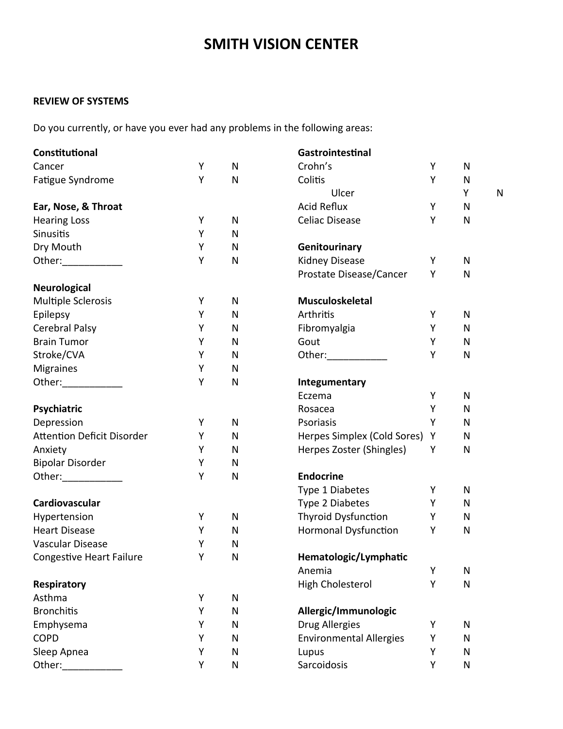### **REVIEW OF SYSTEMS**

Do you currently, or have you ever had any problems in the following areas:

| Constitutional                                                                                                                                                                                                                 |   |           | Gastrointestinal               |   |              |   |
|--------------------------------------------------------------------------------------------------------------------------------------------------------------------------------------------------------------------------------|---|-----------|--------------------------------|---|--------------|---|
| Cancer                                                                                                                                                                                                                         | Υ | N         | Crohn's                        | Υ | N            |   |
| Fatigue Syndrome                                                                                                                                                                                                               | Υ | N         | Colitis                        | Υ | $\mathsf{N}$ |   |
|                                                                                                                                                                                                                                |   |           | Ulcer                          |   | Υ            | N |
| Ear, Nose, & Throat                                                                                                                                                                                                            |   |           | <b>Acid Reflux</b>             | Υ | N            |   |
| <b>Hearing Loss</b>                                                                                                                                                                                                            | Υ | N         | <b>Celiac Disease</b>          | Υ | N            |   |
| Sinusitis                                                                                                                                                                                                                      | Υ | N         |                                |   |              |   |
| Dry Mouth                                                                                                                                                                                                                      | Υ | N         | Genitourinary                  |   |              |   |
| Other: and the state of the state of the state of the state of the state of the state of the state of the state of the state of the state of the state of the state of the state of the state of the state of the state of the | Υ | N         | Kidney Disease                 | Υ | N            |   |
|                                                                                                                                                                                                                                |   |           | Prostate Disease/Cancer        | Υ | N            |   |
| <b>Neurological</b>                                                                                                                                                                                                            |   |           |                                |   |              |   |
| <b>Multiple Sclerosis</b>                                                                                                                                                                                                      | Υ | N         | Musculoskeletal                |   |              |   |
| Epilepsy                                                                                                                                                                                                                       | Υ | N         | Arthritis                      | Υ | $\mathsf{N}$ |   |
| Cerebral Palsy                                                                                                                                                                                                                 | Υ | N         | Fibromyalgia                   | Υ | N            |   |
| <b>Brain Tumor</b>                                                                                                                                                                                                             | Υ | N         | Gout                           | Υ | N            |   |
| Stroke/CVA                                                                                                                                                                                                                     | Υ | N         |                                | Y | ${\sf N}$    |   |
| <b>Migraines</b>                                                                                                                                                                                                               | Υ | N         |                                |   |              |   |
| Other: and the state of the state of the state of the state of the state of the state of the state of the state of the state of the state of the state of the state of the state of the state of the state of the state of the | Υ | N         | Integumentary                  |   |              |   |
|                                                                                                                                                                                                                                |   |           | Eczema                         | Υ | N            |   |
| Psychiatric                                                                                                                                                                                                                    |   |           | Rosacea                        | Υ | N            |   |
| Depression                                                                                                                                                                                                                     | Υ | N         | Psoriasis                      | Y | N            |   |
| <b>Attention Deficit Disorder</b>                                                                                                                                                                                              | Υ | N         | Herpes Simplex (Cold Sores)    | Y | N            |   |
| Anxiety                                                                                                                                                                                                                        | Y | N         | Herpes Zoster (Shingles)       | Υ | N            |   |
| <b>Bipolar Disorder</b>                                                                                                                                                                                                        | Υ | N         |                                |   |              |   |
| Other:_____________                                                                                                                                                                                                            | Υ | N         | <b>Endocrine</b>               |   |              |   |
|                                                                                                                                                                                                                                |   |           | Type 1 Diabetes                | Υ | N            |   |
| Cardiovascular                                                                                                                                                                                                                 |   |           | Type 2 Diabetes                | Y | N            |   |
| Hypertension                                                                                                                                                                                                                   | Y | N         | Thyroid Dysfunction            | Y | N            |   |
| <b>Heart Disease</b>                                                                                                                                                                                                           | Υ | N         | <b>Hormonal Dysfunction</b>    | Y | N            |   |
| Vascular Disease                                                                                                                                                                                                               | Υ | N         |                                |   |              |   |
| <b>Congestive Heart Failure</b>                                                                                                                                                                                                | Y | N         | Hematologic/Lymphatic          |   |              |   |
|                                                                                                                                                                                                                                |   |           | Anemia                         | Υ | N            |   |
| <b>Respiratory</b>                                                                                                                                                                                                             |   |           | High Cholesterol               | Υ | N            |   |
| Asthma                                                                                                                                                                                                                         | Υ | N         |                                |   |              |   |
| <b>Bronchitis</b>                                                                                                                                                                                                              | Υ | N         | Allergic/Immunologic           |   |              |   |
| Emphysema                                                                                                                                                                                                                      | Υ | N         | <b>Drug Allergies</b>          | Υ | N            |   |
| <b>COPD</b>                                                                                                                                                                                                                    | Υ | N         | <b>Environmental Allergies</b> | Υ | N            |   |
| Sleep Apnea                                                                                                                                                                                                                    | Υ | N         | Lupus                          | Υ | N            |   |
| Other:                                                                                                                                                                                                                         | Υ | ${\sf N}$ | Sarcoidosis                    | Υ | N            |   |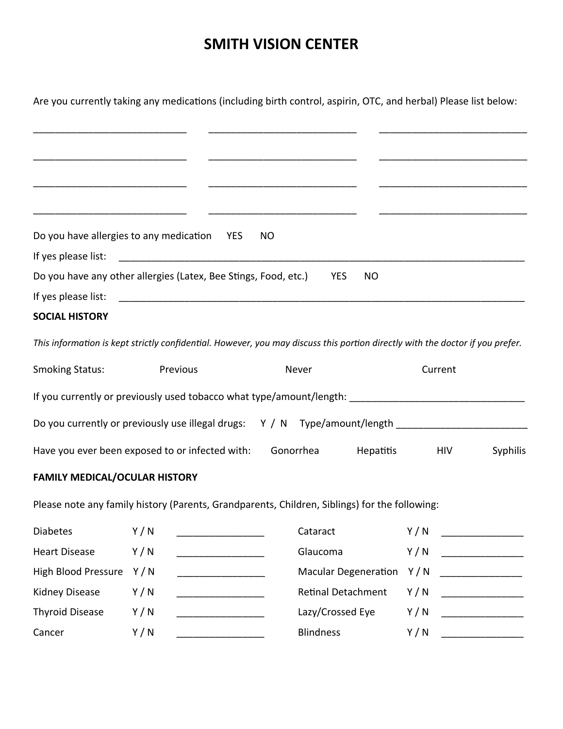Are you currently taking any medications (including birth control, aspirin, OTC, and herbal) Please list below:

| Do you have allergies to any medication YES<br><b>NO</b>                      |           |  |
|-------------------------------------------------------------------------------|-----------|--|
| If yes please list:                                                           |           |  |
| Do you have any other allergies (Latex, Bee Stings, Food, etc.)<br><b>YES</b> | <b>NO</b> |  |
| If yes please list:                                                           |           |  |
|                                                                               |           |  |

### **SOCIAL HISTORY**

*This information is kept strictly confidential. However, you may discuss this portion directly with the doctor if you prefer.*

| <b>Smoking Status:</b>                                               | <b>Previous</b> | Never     |                    | Current |                 |
|----------------------------------------------------------------------|-----------------|-----------|--------------------|---------|-----------------|
| If you currently or previously used tobacco what type/amount/length: |                 |           |                    |         |                 |
| Do you currently or previously use illegal drugs: Y / N              |                 |           | Type/amount/length |         |                 |
| Have you ever been exposed to or infected with:                      |                 | Gonorrhea | Hepatitis          | HIV     | <b>Syphilis</b> |

## **FAMILY MEDICAL/OCULAR HISTORY**

Please note any family history (Parents, Grandparents, Children, Siblings) for the following:

| <b>Diabetes</b>         | Y/N   | Cataract                   | Y/N<br><u> 1980 - Jan Stein Harry Barnett, amerikansk fotballs</u> |
|-------------------------|-------|----------------------------|--------------------------------------------------------------------|
| <b>Heart Disease</b>    | Y / N | Glaucoma                   | Y/N                                                                |
| High Blood Pressure Y/N |       | Macular Degeneration $Y/N$ |                                                                    |
| Kidney Disease          | Y/N   | Retinal Detachment         | Y/N                                                                |
| <b>Thyroid Disease</b>  | Y/N   | Lazy/Crossed Eye           | Y/N                                                                |
| Cancer                  | Y/N   | <b>Blindness</b>           | Y/N                                                                |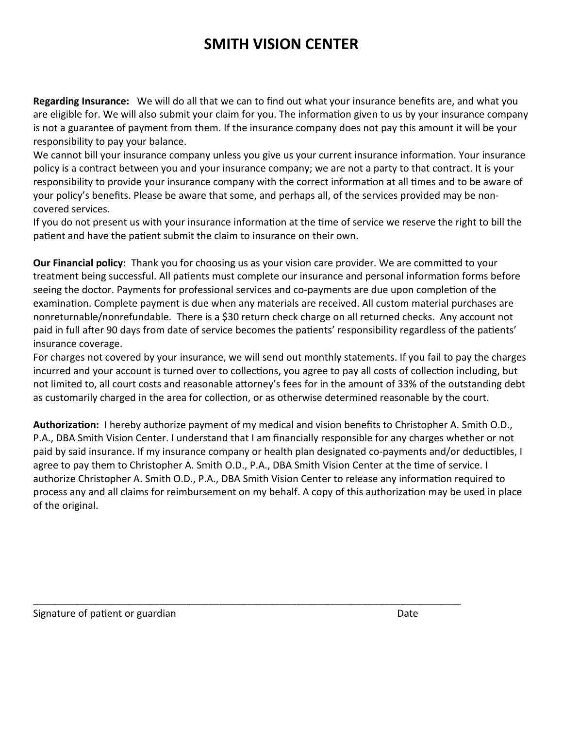**Regarding Insurance:** We will do all that we can to find out what your insurance benefits are, and what you are eligible for. We will also submit your claim for you. The information given to us by your insurance company is not a guarantee of payment from them. If the insurance company does not pay this amount it will be your responsibility to pay your balance.

We cannot bill your insurance company unless you give us your current insurance information. Your insurance policy is a contract between you and your insurance company; we are not a party to that contract. It is your responsibility to provide your insurance company with the correct information at all times and to be aware of your policy's benefits. Please be aware that some, and perhaps all, of the services provided may be noncovered services.

If you do not present us with your insurance information at the time of service we reserve the right to bill the patient and have the patient submit the claim to insurance on their own.

**Our Financial policy:** Thank you for choosing us as your vision care provider. We are committed to your treatment being successful. All patients must complete our insurance and personal information forms before seeing the doctor. Payments for professional services and co-payments are due upon completion of the examination. Complete payment is due when any materials are received. All custom material purchases are nonreturnable/nonrefundable. There is a \$30 return check charge on all returned checks. Any account not paid in full after 90 days from date of service becomes the patients' responsibility regardless of the patients' insurance coverage.

For charges not covered by your insurance, we will send out monthly statements. If you fail to pay the charges incurred and your account is turned over to collections, you agree to pay all costs of collection including, but not limited to, all court costs and reasonable attorney's fees for in the amount of 33% of the outstanding debt as customarily charged in the area for collection, or as otherwise determined reasonable by the court.

**Authorization:** I hereby authorize payment of my medical and vision benefits to Christopher A. Smith O.D., P.A., DBA Smith Vision Center. I understand that I am financially responsible for any charges whether or not paid by said insurance. If my insurance company or health plan designated co-payments and/or deductibles, I agree to pay them to Christopher A. Smith O.D., P.A., DBA Smith Vision Center at the time of service. I authorize Christopher A. Smith O.D., P.A., DBA Smith Vision Center to release any information required to process any and all claims for reimbursement on my behalf. A copy of this authorization may be used in place of the original.

\_\_\_\_\_\_\_\_\_\_\_\_\_\_\_\_\_\_\_\_\_\_\_\_\_\_\_\_\_\_\_\_\_\_\_\_\_\_\_\_\_\_\_\_\_\_\_\_\_\_\_\_\_\_\_\_\_\_\_\_\_\_\_\_\_\_\_\_\_\_\_\_\_\_\_\_\_\_